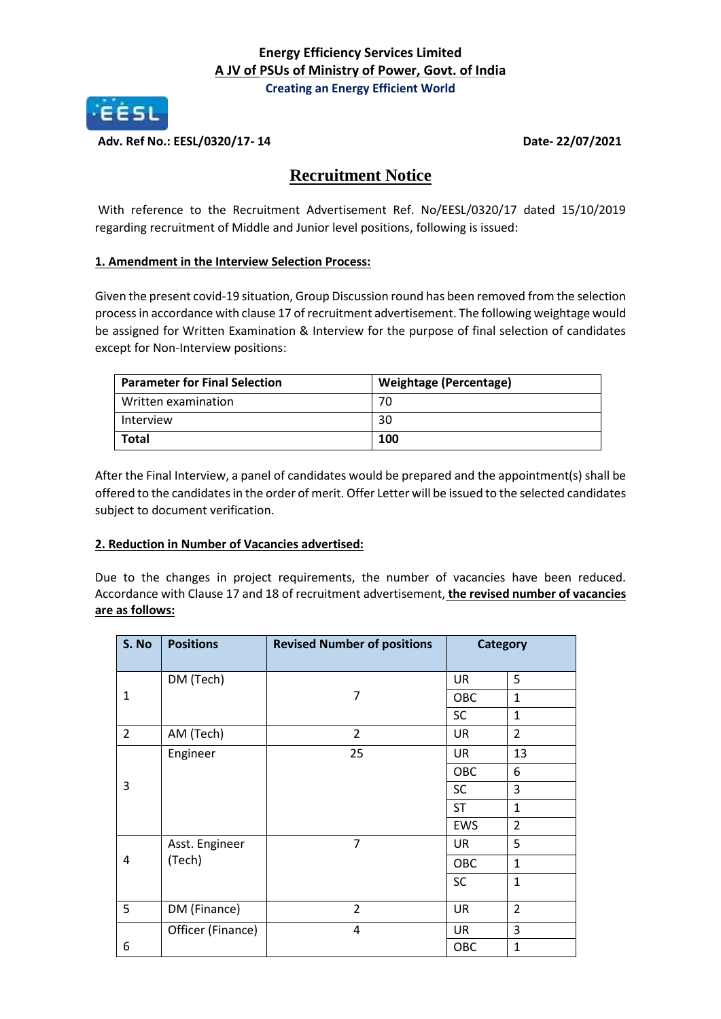

**Adv. Ref No.: EESL/0320/17- 14 Date- 22/07/2021**

## **Recruitment Notice**

With reference to the Recruitment Advertisement Ref. No/EESL/0320/17 dated 15/10/2019 regarding recruitment of Middle and Junior level positions, following is issued:

## **1. Amendment in the Interview Selection Process:**

Given the present covid-19 situation, Group Discussion round has been removed from the selection processin accordance with clause 17 of recruitment advertisement. The following weightage would be assigned for Written Examination & Interview for the purpose of final selection of candidates except for Non-Interview positions:

| <b>Parameter for Final Selection</b> | <b>Weightage (Percentage)</b> |
|--------------------------------------|-------------------------------|
| Written examination                  |                               |
| Interview                            | 30                            |
| <b>Total</b>                         | 100                           |

After the Final Interview, a panel of candidates would be prepared and the appointment(s) shall be offered to the candidates in the order of merit. Offer Letter will be issued to the selected candidates subject to document verification.

## **2. Reduction in Number of Vacancies advertised:**

Due to the changes in project requirements, the number of vacancies have been reduced. Accordance with Clause 17 and 18 of recruitment advertisement, **the revised number of vacancies are as follows:**

| S. No          | <b>Positions</b>  | <b>Revised Number of positions</b> | <b>Category</b> |                |
|----------------|-------------------|------------------------------------|-----------------|----------------|
|                | DM (Tech)         |                                    | <b>UR</b>       | 5              |
| 1              |                   | 7                                  | OBC             | $\mathbf{1}$   |
|                |                   |                                    | <b>SC</b>       | $\mathbf{1}$   |
| $\overline{2}$ | AM (Tech)         | $\overline{2}$                     | UR              | $\overline{2}$ |
| 3              | Engineer          | 25                                 | UR              | 13             |
|                |                   |                                    | OBC             | 6              |
|                |                   |                                    | <b>SC</b>       | 3              |
|                |                   |                                    | <b>ST</b>       | 1              |
|                |                   |                                    | <b>EWS</b>      | $\overline{2}$ |
| 4              | Asst. Engineer    | $\overline{7}$                     | <b>UR</b>       | 5              |
|                | (Tech)            |                                    | OBC             | $\mathbf{1}$   |
|                |                   |                                    | <b>SC</b>       | $\mathbf{1}$   |
| 5              | DM (Finance)      | $\overline{2}$                     | <b>UR</b>       | $\overline{2}$ |
|                | Officer (Finance) | 4                                  | <b>UR</b>       | 3              |
| 6              |                   |                                    | OBC             | 1              |